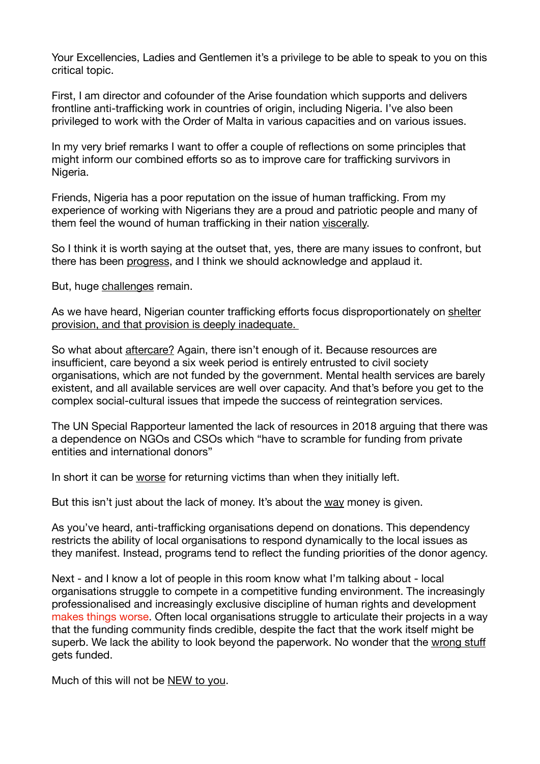Your Excellencies, Ladies and Gentlemen it's a privilege to be able to speak to you on this critical topic.

First, I am director and cofounder of the Arise foundation which supports and delivers frontline anti-trafficking work in countries of origin, including Nigeria. I've also been privileged to work with the Order of Malta in various capacities and on various issues.

In my very brief remarks I want to offer a couple of reflections on some principles that might inform our combined efforts so as to improve care for trafficking survivors in Nigeria.

Friends, Nigeria has a poor reputation on the issue of human trafficking. From my experience of working with Nigerians they are a proud and patriotic people and many of them feel the wound of human trafficking in their nation viscerally.

So I think it is worth saying at the outset that, yes, there are many issues to confront, but there has been progress, and I think we should acknowledge and applaud it.

But, huge challenges remain.

As we have heard, Nigerian counter trafficking efforts focus disproportionately on shelter provision, and that provision is deeply inadequate.

So what about aftercare? Again, there isn't enough of it. Because resources are insufficient, care beyond a six week period is entirely entrusted to civil society organisations, which are not funded by the government. Mental health services are barely existent, and all available services are well over capacity. And that's before you get to the complex social-cultural issues that impede the success of reintegration services.

The UN Special Rapporteur lamented the lack of resources in 2018 arguing that there was a dependence on NGOs and CSOs which "have to scramble for funding from private entities and international donors"

In short it can be worse for returning victims than when they initially left.

But this isn't just about the lack of money. It's about the way money is given.

As you've heard, anti-trafficking organisations depend on donations. This dependency restricts the ability of local organisations to respond dynamically to the local issues as they manifest. Instead, programs tend to reflect the funding priorities of the donor agency.

Next - and I know a lot of people in this room know what I'm talking about - local organisations struggle to compete in a competitive funding environment. The increasingly professionalised and increasingly exclusive discipline of human rights and development makes things worse. Often local organisations struggle to articulate their projects in a way that the funding community finds credible, despite the fact that the work itself might be superb. We lack the ability to look beyond the paperwork. No wonder that the wrong stuff gets funded.

Much of this will not be NEW to you.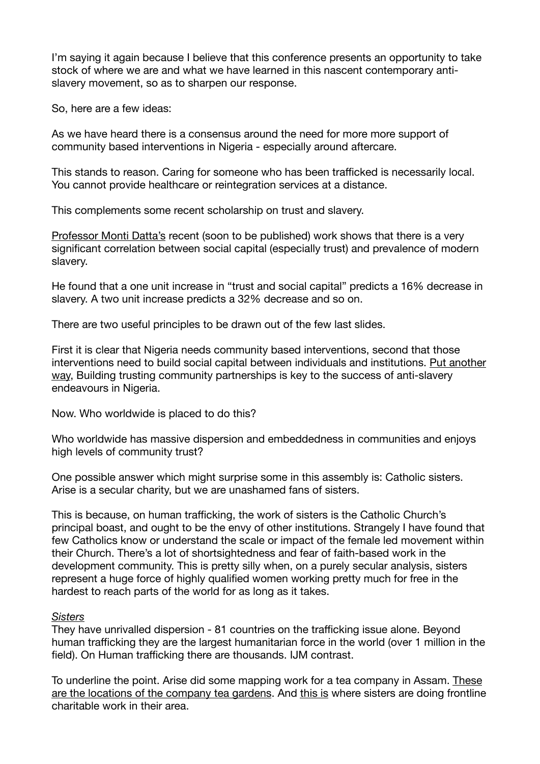I'm saying it again because I believe that this conference presents an opportunity to take stock of where we are and what we have learned in this nascent contemporary antislavery movement, so as to sharpen our response.

So, here are a few ideas:

As we have heard there is a consensus around the need for more more support of community based interventions in Nigeria - especially around aftercare.

This stands to reason. Caring for someone who has been trafficked is necessarily local. You cannot provide healthcare or reintegration services at a distance.

This complements some recent scholarship on trust and slavery.

Professor Monti Datta's recent (soon to be published) work shows that there is a very significant correlation between social capital (especially trust) and prevalence of modern slavery.

He found that a one unit increase in "trust and social capital" predicts a 16% decrease in slavery. A two unit increase predicts a 32% decrease and so on.

There are two useful principles to be drawn out of the few last slides.

First it is clear that Nigeria needs community based interventions, second that those interventions need to build social capital between individuals and institutions. Put another way, Building trusting community partnerships is key to the success of anti-slavery endeavours in Nigeria.

Now. Who worldwide is placed to do this?

Who worldwide has massive dispersion and embeddedness in communities and enjoys high levels of community trust?

One possible answer which might surprise some in this assembly is: Catholic sisters. Arise is a secular charity, but we are unashamed fans of sisters.

This is because, on human trafficking, the work of sisters is the Catholic Church's principal boast, and ought to be the envy of other institutions. Strangely I have found that few Catholics know or understand the scale or impact of the female led movement within their Church. There's a lot of shortsightedness and fear of faith-based work in the development community. This is pretty silly when, on a purely secular analysis, sisters represent a huge force of highly qualified women working pretty much for free in the hardest to reach parts of the world for as long as it takes.

## *Sisters*

They have unrivalled dispersion - 81 countries on the trafficking issue alone. Beyond human trafficking they are the largest humanitarian force in the world (over 1 million in the field). On Human trafficking there are thousands. IJM contrast.

To underline the point. Arise did some mapping work for a tea company in Assam. These are the locations of the company tea gardens. And this is where sisters are doing frontline charitable work in their area.